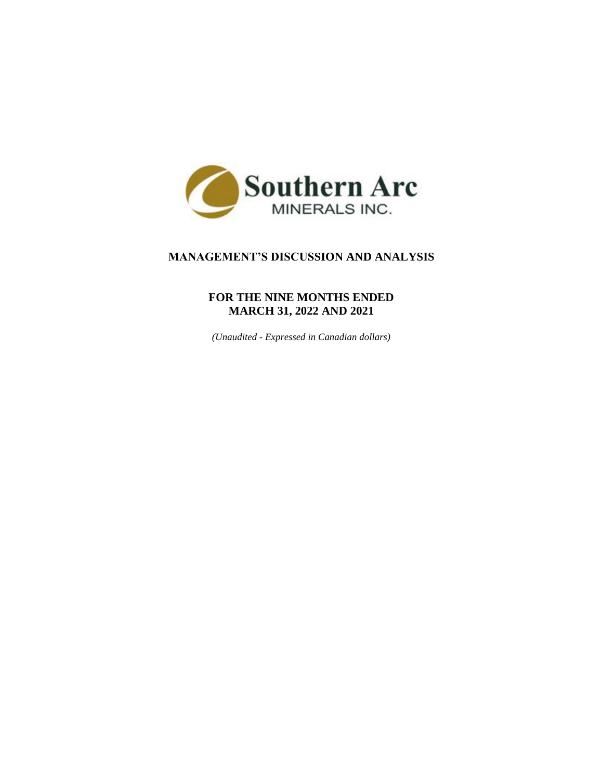

# **MANAGEMENT'S DISCUSSION AND ANALYSIS**

# **FOR THE NINE MONTHS ENDED MARCH 31, 2022 AND 2021**

*(Unaudited - Expressed in Canadian dollars)*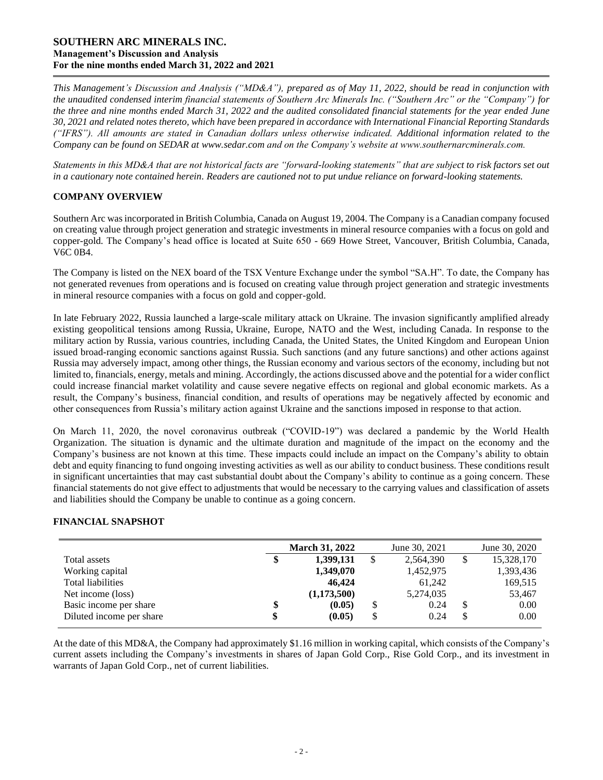# **SOUTHERN ARC MINERALS INC. Management's Discussion and Analysis For the nine months ended March 31, 2022 and 2021**

*This Management's Discussion and Analysis ("MD&A"), prepared as of May 11, 2022, should be read in conjunction with the unaudited condensed interim financial statements of Southern Arc Minerals Inc. ("Southern Arc" or the "Company") for the three and nine months ended March 31, 2022 and the audited consolidated financial statements for the year ended June 30, 2021 and related notes thereto, which have been prepared in accordance with International Financial Reporting Standards ("IFRS"). All amounts are stated in Canadian dollars unless otherwise indicated. Additional information related to the Company can be found on SEDAR at [www.sedar.com](http://www.sedar.com/) and on the Company's website at www.southernarcminerals.com.*

*Statements in this MD&A that are not historical facts are "forward-looking statements" that are subject to risk factors set out in a cautionary note contained herein. Readers are cautioned not to put undue reliance on forward-looking statements.*

# **COMPANY OVERVIEW**

Southern Arc was incorporated in British Columbia, Canada on August 19, 2004. The Company is a Canadian company focused on creating value through project generation and strategic investments in mineral resource companies with a focus on gold and copper-gold. The Company's head office is located at Suite 650 - 669 Howe Street, Vancouver, British Columbia, Canada, V6C 0B4.

The Company is listed on the NEX board of the TSX Venture Exchange under the symbol "SA.H". To date, the Company has not generated revenues from operations and is focused on creating value through project generation and strategic investments in mineral resource companies with a focus on gold and copper-gold.

In late February 2022, Russia launched a large-scale military attack on Ukraine. The invasion significantly amplified already existing geopolitical tensions among Russia, Ukraine, Europe, NATO and the West, including Canada. In response to the military action by Russia, various countries, including Canada, the United States, the United Kingdom and European Union issued broad-ranging economic sanctions against Russia. Such sanctions (and any future sanctions) and other actions against Russia may adversely impact, among other things, the Russian economy and various sectors of the economy, including but not limited to, financials, energy, metals and mining. Accordingly, the actions discussed above and the potential for a wider conflict could increase financial market volatility and cause severe negative effects on regional and global economic markets. As a result, the Company's business, financial condition, and results of operations may be negatively affected by economic and other consequences from Russia's military action against Ukraine and the sanctions imposed in response to that action.

On March 11, 2020, the novel coronavirus outbreak ("COVID-19") was declared a pandemic by the World Health Organization. The situation is dynamic and the ultimate duration and magnitude of the impact on the economy and the Company's business are not known at this time. These impacts could include an impact on the Company's ability to obtain debt and equity financing to fund ongoing investing activities as well as our ability to conduct business. These conditions result in significant uncertainties that may cast substantial doubt about the Company's ability to continue as a going concern. These financial statements do not give effect to adjustments that would be necessary to the carrying values and classification of assets and liabilities should the Company be unable to continue as a going concern.

## **FINANCIAL SNAPSHOT**

|                          | <b>March 31, 2022</b> |   | June 30, 2021 | June 30, 2020 |
|--------------------------|-----------------------|---|---------------|---------------|
| Total assets             | 1,399,131             |   | 2,564,390     | 15,328,170    |
| Working capital          | 1,349,070             |   | 1,452,975     | 1,393,436     |
| Total liabilities        | 46,424                |   | 61.242        | 169,515       |
| Net income (loss)        | (1,173,500)           |   | 5,274,035     | 53,467        |
| Basic income per share   | \$<br>(0.05)          |   | 0.24          | 0.00          |
| Diluted income per share | (0.05)                | S | 0.24          | 0.00          |

At the date of this MD&A, the Company had approximately \$1.16 million in working capital, which consists of the Company's current assets including the Company's investments in shares of Japan Gold Corp., Rise Gold Corp., and its investment in warrants of Japan Gold Corp., net of current liabilities.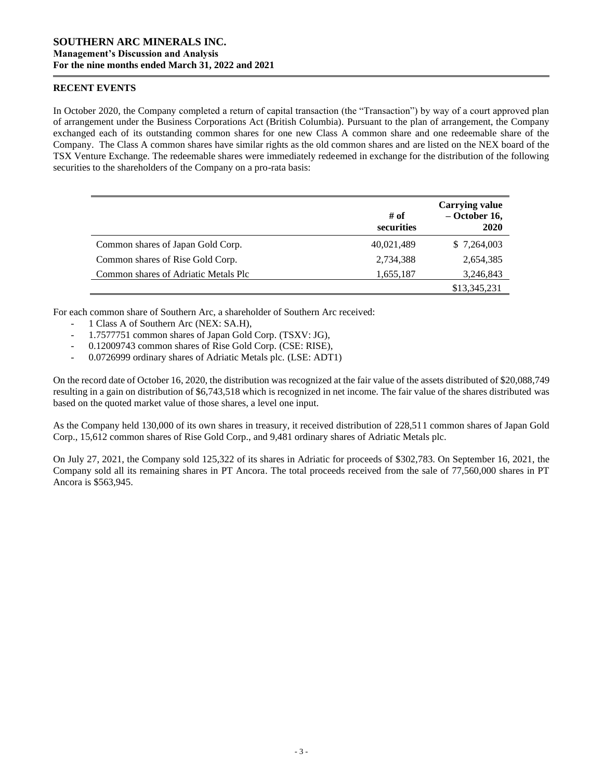### **RECENT EVENTS**

In October 2020, the Company completed a return of capital transaction (the "Transaction") by way of a court approved plan of arrangement under the Business Corporations Act (British Columbia). Pursuant to the plan of arrangement, the Company exchanged each of its outstanding common shares for one new Class A common share and one redeemable share of the Company. The Class A common shares have similar rights as the old common shares and are listed on the NEX board of the TSX Venture Exchange. The redeemable shares were immediately redeemed in exchange for the distribution of the following securities to the shareholders of the Company on a pro-rata basis:

|                                      | # of<br>securities | <b>Carrying value</b><br>$-$ October 16,<br>2020 |
|--------------------------------------|--------------------|--------------------------------------------------|
| Common shares of Japan Gold Corp.    | 40,021,489         | \$7,264,003                                      |
| Common shares of Rise Gold Corp.     | 2,734,388          | 2,654,385                                        |
| Common shares of Adriatic Metals Plc | 1,655,187          | 3,246,843                                        |
|                                      |                    | \$13,345,231                                     |

For each common share of Southern Arc, a shareholder of Southern Arc received:

- 1 Class A of Southern Arc (NEX: SA.H),
- 1.7577751 common shares of Japan Gold Corp. (TSXV: JG),
- 0.12009743 common shares of Rise Gold Corp. (CSE: RISE),
- 0.0726999 ordinary shares of Adriatic Metals plc. (LSE: ADT1)

On the record date of October 16, 2020, the distribution was recognized at the fair value of the assets distributed of \$20,088,749 resulting in a gain on distribution of \$6,743,518 which is recognized in net income. The fair value of the shares distributed was based on the quoted market value of those shares, a level one input.

As the Company held 130,000 of its own shares in treasury, it received distribution of 228,511 common shares of Japan Gold Corp., 15,612 common shares of Rise Gold Corp., and 9,481 ordinary shares of Adriatic Metals plc.

On July 27, 2021, the Company sold 125,322 of its shares in Adriatic for proceeds of \$302,783. On September 16, 2021, the Company sold all its remaining shares in PT Ancora. The total proceeds received from the sale of 77,560,000 shares in PT Ancora is \$563,945.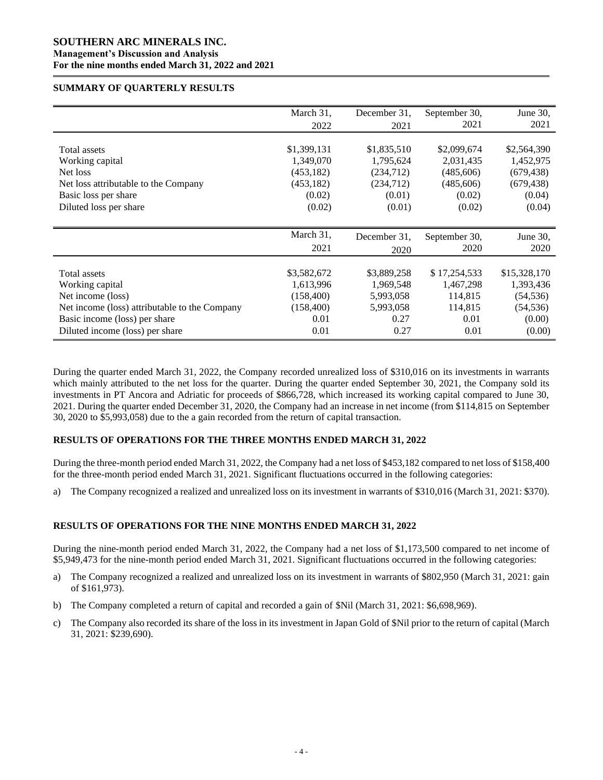### **SOUTHERN ARC MINERALS INC. Management's Discussion and Analysis For the nine months ended March 31, 2022 and 2021**

#### **SUMMARY OF QUARTERLY RESULTS**

|                                               | March 31,   | December 31, | September 30, | June 30,     |
|-----------------------------------------------|-------------|--------------|---------------|--------------|
|                                               | 2022        | 2021         | 2021          | 2021         |
|                                               |             |              |               |              |
| Total assets                                  | \$1,399,131 | \$1,835,510  | \$2,099,674   | \$2,564,390  |
| Working capital                               | 1,349,070   | 1,795,624    | 2,031,435     | 1,452,975    |
| Net loss                                      | (453, 182)  | (234,712)    | (485,606)     | (679, 438)   |
| Net loss attributable to the Company          | (453, 182)  | (234,712)    | (485,606)     | (679, 438)   |
| Basic loss per share                          | (0.02)      | (0.01)       | (0.02)        | (0.04)       |
| Diluted loss per share                        | (0.02)      | (0.01)       | (0.02)        | (0.04)       |
|                                               | March 31,   | December 31. | September 30, | June 30,     |
|                                               | 2021        | 2020         | 2020          | 2020         |
| Total assets                                  | \$3,582,672 | \$3,889,258  | \$17,254,533  | \$15,328,170 |
| Working capital                               | 1,613,996   | 1,969,548    | 1,467,298     | 1,393,436    |
| Net income (loss)                             | (158, 400)  | 5,993,058    | 114,815       | (54, 536)    |
| Net income (loss) attributable to the Company | (158, 400)  | 5,993,058    | 114,815       | (54, 536)    |
| Basic income (loss) per share                 | 0.01        | 0.27         | 0.01          | (0.00)       |
| Diluted income (loss) per share               | 0.01        | 0.27         | 0.01          | (0.00)       |

During the quarter ended March 31, 2022, the Company recorded unrealized loss of \$310,016 on its investments in warrants which mainly attributed to the net loss for the quarter. During the quarter ended September 30, 2021, the Company sold its investments in PT Ancora and Adriatic for proceeds of \$866,728, which increased its working capital compared to June 30, 2021. During the quarter ended December 31, 2020, the Company had an increase in net income (from \$114,815 on September 30, 2020 to \$5,993,058) due to the a gain recorded from the return of capital transaction.

## **RESULTS OF OPERATIONS FOR THE THREE MONTHS ENDED MARCH 31, 2022**

During the three-month period ended March 31, 2022, the Company had a net loss of \$453,182 compared to net loss of \$158,400 for the three-month period ended March 31, 2021. Significant fluctuations occurred in the following categories:

a) The Company recognized a realized and unrealized loss on its investment in warrants of \$310,016 (March 31, 2021: \$370).

## **RESULTS OF OPERATIONS FOR THE NINE MONTHS ENDED MARCH 31, 2022**

During the nine-month period ended March 31, 2022, the Company had a net loss of \$1,173,500 compared to net income of \$5,949,473 for the nine-month period ended March 31, 2021. Significant fluctuations occurred in the following categories:

- a) The Company recognized a realized and unrealized loss on its investment in warrants of \$802,950 (March 31, 2021: gain of \$161,973).
- b) The Company completed a return of capital and recorded a gain of \$Nil (March 31, 2021: \$6,698,969).
- c) The Company also recorded its share of the loss in its investment in Japan Gold of \$Nil prior to the return of capital (March 31, 2021: \$239,690).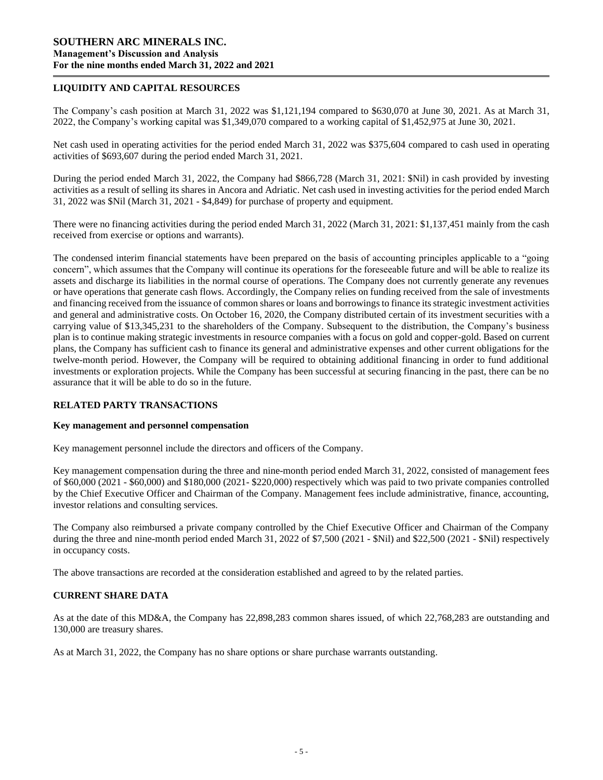## **LIQUIDITY AND CAPITAL RESOURCES**

The Company's cash position at March 31, 2022 was \$1,121,194 compared to \$630,070 at June 30, 2021. As at March 31, 2022, the Company's working capital was \$1,349,070 compared to a working capital of \$1,452,975 at June 30, 2021.

Net cash used in operating activities for the period ended March 31, 2022 was \$375,604 compared to cash used in operating activities of \$693,607 during the period ended March 31, 2021.

During the period ended March 31, 2022, the Company had \$866,728 (March 31, 2021: \$Nil) in cash provided by investing activities as a result of selling its shares in Ancora and Adriatic. Net cash used in investing activities for the period ended March 31, 2022 was \$Nil (March 31, 2021 - \$4,849) for purchase of property and equipment.

There were no financing activities during the period ended March 31, 2022 (March 31, 2021: \$1,137,451 mainly from the cash received from exercise or options and warrants).

The condensed interim financial statements have been prepared on the basis of accounting principles applicable to a "going concern", which assumes that the Company will continue its operations for the foreseeable future and will be able to realize its assets and discharge its liabilities in the normal course of operations. The Company does not currently generate any revenues or have operations that generate cash flows. Accordingly, the Company relies on funding received from the sale of investments and financing received from the issuance of common shares or loans and borrowings to finance its strategic investment activities and general and administrative costs. On October 16, 2020, the Company distributed certain of its investment securities with a carrying value of \$13,345,231 to the shareholders of the Company. Subsequent to the distribution, the Company's business plan is to continue making strategic investments in resource companies with a focus on gold and copper-gold. Based on current plans, the Company has sufficient cash to finance its general and administrative expenses and other current obligations for the twelve-month period. However, the Company will be required to obtaining additional financing in order to fund additional investments or exploration projects. While the Company has been successful at securing financing in the past, there can be no assurance that it will be able to do so in the future.

## **RELATED PARTY TRANSACTIONS**

#### **Key management and personnel compensation**

Key management personnel include the directors and officers of the Company.

Key management compensation during the three and nine-month period ended March 31, 2022, consisted of management fees of \$60,000 (2021 - \$60,000) and \$180,000 (2021- \$220,000) respectively which was paid to two private companies controlled by the Chief Executive Officer and Chairman of the Company. Management fees include administrative, finance, accounting, investor relations and consulting services.

The Company also reimbursed a private company controlled by the Chief Executive Officer and Chairman of the Company during the three and nine-month period ended March 31, 2022 of \$7,500 (2021 - \$Nil) and \$22,500 (2021 - \$Nil) respectively in occupancy costs.

The above transactions are recorded at the consideration established and agreed to by the related parties.

## **CURRENT SHARE DATA**

As at the date of this MD&A, the Company has 22,898,283 common shares issued, of which 22,768,283 are outstanding and 130,000 are treasury shares.

As at March 31, 2022, the Company has no share options or share purchase warrants outstanding.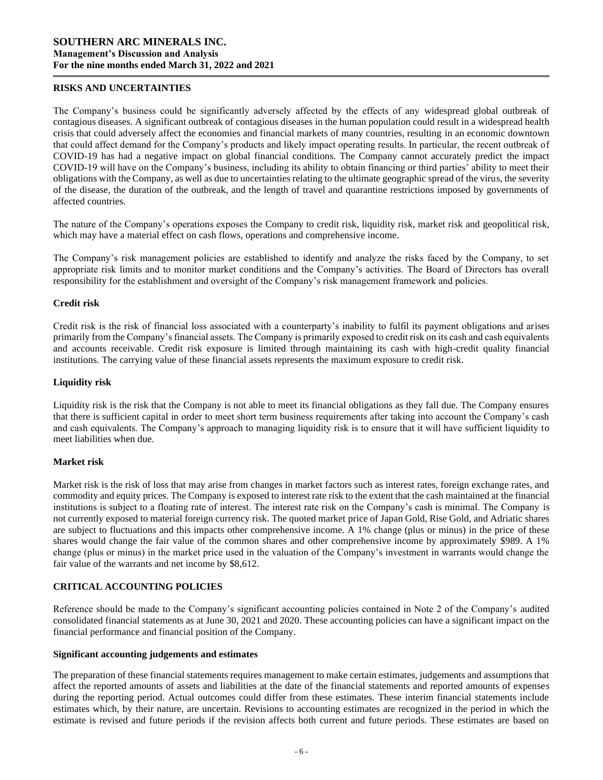#### **RISKS AND UNCERTAINTIES**

The Company's business could be significantly adversely affected by the effects of any widespread global outbreak of contagious diseases. A significant outbreak of contagious diseases in the human population could result in a widespread health crisis that could adversely affect the economies and financial markets of many countries, resulting in an economic downtown that could affect demand for the Company's products and likely impact operating results. In particular, the recent outbreak of COVID-19 has had a negative impact on global financial conditions. The Company cannot accurately predict the impact COVID-19 will have on the Company's business, including its ability to obtain financing or third parties' ability to meet their obligations with the Company, as well as due to uncertainties relating to the ultimate geographic spread of the virus, the severity of the disease, the duration of the outbreak, and the length of travel and quarantine restrictions imposed by governments of affected countries.

The nature of the Company's operations exposes the Company to credit risk, liquidity risk, market risk and geopolitical risk, which may have a material effect on cash flows, operations and comprehensive income.

The Company's risk management policies are established to identify and analyze the risks faced by the Company, to set appropriate risk limits and to monitor market conditions and the Company's activities. The Board of Directors has overall responsibility for the establishment and oversight of the Company's risk management framework and policies.

### **Credit risk**

Credit risk is the risk of financial loss associated with a counterparty's inability to fulfil its payment obligations and arises primarily from the Company's financial assets. The Company is primarily exposed to credit risk on its cash and cash equivalents and accounts receivable. Credit risk exposure is limited through maintaining its cash with high-credit quality financial institutions. The carrying value of these financial assets represents the maximum exposure to credit risk.

### **Liquidity risk**

Liquidity risk is the risk that the Company is not able to meet its financial obligations as they fall due. The Company ensures that there is sufficient capital in order to meet short term business requirements after taking into account the Company's cash and cash equivalents. The Company's approach to managing liquidity risk is to ensure that it will have sufficient liquidity to meet liabilities when due.

#### **Market risk**

Market risk is the risk of loss that may arise from changes in market factors such as interest rates, foreign exchange rates, and commodity and equity prices. The Company is exposed to interest rate risk to the extent that the cash maintained at the financial institutions is subject to a floating rate of interest. The interest rate risk on the Company's cash is minimal. The Company is not currently exposed to material foreign currency risk. The quoted market price of Japan Gold, Rise Gold, and Adriatic shares are subject to fluctuations and this impacts other comprehensive income. A 1% change (plus or minus) in the price of these shares would change the fair value of the common shares and other comprehensive income by approximately \$989. A 1% change (plus or minus) in the market price used in the valuation of the Company's investment in warrants would change the fair value of the warrants and net income by \$8,612.

## **CRITICAL ACCOUNTING POLICIES**

Reference should be made to the Company's significant accounting policies contained in Note 2 of the Company's audited consolidated financial statements as at June 30, 2021 and 2020. These accounting policies can have a significant impact on the financial performance and financial position of the Company.

#### **Significant accounting judgements and estimates**

The preparation of these financial statements requires management to make certain estimates, judgements and assumptions that affect the reported amounts of assets and liabilities at the date of the financial statements and reported amounts of expenses during the reporting period. Actual outcomes could differ from these estimates. These interim financial statements include estimates which, by their nature, are uncertain. Revisions to accounting estimates are recognized in the period in which the estimate is revised and future periods if the revision affects both current and future periods. These estimates are based on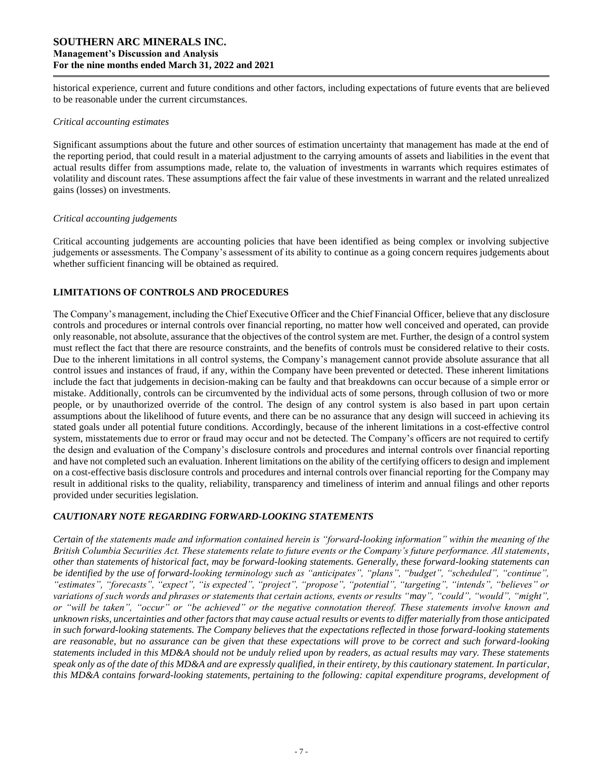# **SOUTHERN ARC MINERALS INC. Management's Discussion and Analysis For the nine months ended March 31, 2022 and 2021**

historical experience, current and future conditions and other factors, including expectations of future events that are believed to be reasonable under the current circumstances.

#### *Critical accounting estimates*

Significant assumptions about the future and other sources of estimation uncertainty that management has made at the end of the reporting period, that could result in a material adjustment to the carrying amounts of assets and liabilities in the event that actual results differ from assumptions made, relate to, the valuation of investments in warrants which requires estimates of volatility and discount rates. These assumptions affect the fair value of these investments in warrant and the related unrealized gains (losses) on investments.

### *Critical accounting judgements*

Critical accounting judgements are accounting policies that have been identified as being complex or involving subjective judgements or assessments. The Company's assessment of its ability to continue as a going concern requires judgements about whether sufficient financing will be obtained as required.

# **LIMITATIONS OF CONTROLS AND PROCEDURES**

The Company's management, including the Chief Executive Officer and the Chief Financial Officer, believe that any disclosure controls and procedures or internal controls over financial reporting, no matter how well conceived and operated, can provide only reasonable, not absolute, assurance that the objectives of the control system are met. Further, the design of a control system must reflect the fact that there are resource constraints, and the benefits of controls must be considered relative to their costs. Due to the inherent limitations in all control systems, the Company's management cannot provide absolute assurance that all control issues and instances of fraud, if any, within the Company have been prevented or detected. These inherent limitations include the fact that judgements in decision-making can be faulty and that breakdowns can occur because of a simple error or mistake. Additionally, controls can be circumvented by the individual acts of some persons, through collusion of two or more people, or by unauthorized override of the control. The design of any control system is also based in part upon certain assumptions about the likelihood of future events, and there can be no assurance that any design will succeed in achieving its stated goals under all potential future conditions. Accordingly, because of the inherent limitations in a cost-effective control system, misstatements due to error or fraud may occur and not be detected. The Company's officers are not required to certify the design and evaluation of the Company's disclosure controls and procedures and internal controls over financial reporting and have not completed such an evaluation. Inherent limitations on the ability of the certifying officers to design and implement on a cost-effective basis disclosure controls and procedures and internal controls over financial reporting for the Company may result in additional risks to the quality, reliability, transparency and timeliness of interim and annual filings and other reports provided under securities legislation.

## *CAUTIONARY NOTE REGARDING FORWARD-LOOKING STATEMENTS*

*Certain of the statements made and information contained herein is "forward-looking information" within the meaning of the British Columbia Securities Act. These statements relate to future events or the Company's future performance. All statements, other than statements of historical fact, may be forward-looking statements. Generally, these forward-looking statements can be identified by the use of forward-looking terminology such as "anticipates", "plans", "budget", "scheduled", "continue", "estimates", "forecasts", "expect", "is expected", "project", "propose", "potential", "targeting", "intends", "believes" or variations of such words and phrases or statements that certain actions, events or results "may", "could", "would", "might", or "will be taken", "occur" or "be achieved" or the negative connotation thereof. These statements involve known and unknown risks, uncertainties and other factors that may cause actual results or events to differ materially from those anticipated in such forward-looking statements. The Company believes that the expectations reflected in those forward-looking statements are reasonable, but no assurance can be given that these expectations will prove to be correct and such forward-looking statements included in this MD&A should not be unduly relied upon by readers, as actual results may vary. These statements speak only as of the date of this MD&A and are expressly qualified, in their entirety, by this cautionary statement. In particular, this MD&A contains forward-looking statements, pertaining to the following: capital expenditure programs, development of*